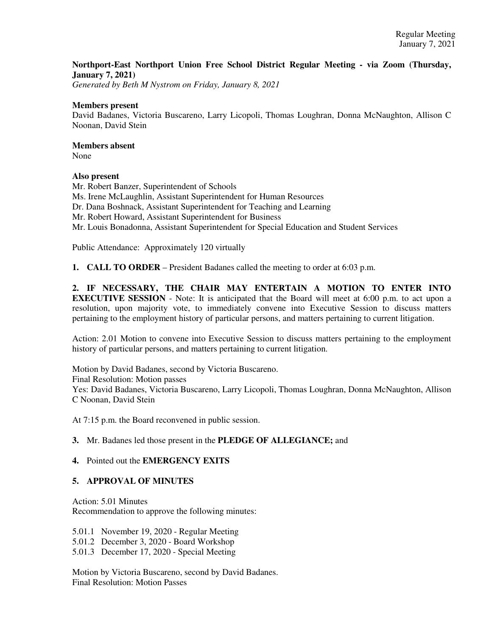## **Northport-East Northport Union Free School District Regular Meeting - via Zoom (Thursday, January 7, 2021)**

*Generated by Beth M Nystrom on Friday, January 8, 2021*

### **Members present**

David Badanes, Victoria Buscareno, Larry Licopoli, Thomas Loughran, Donna McNaughton, Allison C Noonan, David Stein

## **Members absent**

None

### **Also present**

Mr. Robert Banzer, Superintendent of Schools Ms. Irene McLaughlin, Assistant Superintendent for Human Resources Dr. Dana Boshnack, Assistant Superintendent for Teaching and Learning Mr. Robert Howard, Assistant Superintendent for Business Mr. Louis Bonadonna, Assistant Superintendent for Special Education and Student Services

Public Attendance: Approximately 120 virtually

**1. CALL TO ORDER** – President Badanes called the meeting to order at 6:03 p.m.

**2. IF NECESSARY, THE CHAIR MAY ENTERTAIN A MOTION TO ENTER INTO EXECUTIVE SESSION** - Note: It is anticipated that the Board will meet at 6:00 p.m. to act upon a resolution, upon majority vote, to immediately convene into Executive Session to discuss matters pertaining to the employment history of particular persons, and matters pertaining to current litigation.

Action: 2.01 Motion to convene into Executive Session to discuss matters pertaining to the employment history of particular persons, and matters pertaining to current litigation.

Motion by David Badanes, second by Victoria Buscareno. Final Resolution: Motion passes Yes: David Badanes, Victoria Buscareno, Larry Licopoli, Thomas Loughran, Donna McNaughton, Allison C Noonan, David Stein

At 7:15 p.m. the Board reconvened in public session.

### **3.** Mr. Badanes led those present in the **PLEDGE OF ALLEGIANCE;** and

### **4.** Pointed out the **EMERGENCY EXITS**

# **5. APPROVAL OF MINUTES**

Action: 5.01 Minutes Recommendation to approve the following minutes:

5.01.1 November 19, 2020 - Regular Meeting

- 5.01.2 December 3, 2020 Board Workshop
- 5.01.3 December 17, 2020 Special Meeting

Motion by Victoria Buscareno, second by David Badanes. Final Resolution: Motion Passes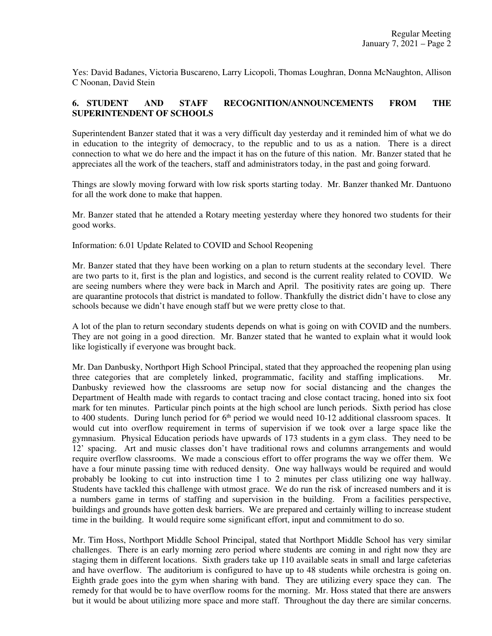Yes: David Badanes, Victoria Buscareno, Larry Licopoli, Thomas Loughran, Donna McNaughton, Allison C Noonan, David Stein

## **6. STUDENT AND STAFF RECOGNITION/ANNOUNCEMENTS FROM THE SUPERINTENDENT OF SCHOOLS**

Superintendent Banzer stated that it was a very difficult day yesterday and it reminded him of what we do in education to the integrity of democracy, to the republic and to us as a nation. There is a direct connection to what we do here and the impact it has on the future of this nation. Mr. Banzer stated that he appreciates all the work of the teachers, staff and administrators today, in the past and going forward.

Things are slowly moving forward with low risk sports starting today. Mr. Banzer thanked Mr. Dantuono for all the work done to make that happen.

Mr. Banzer stated that he attended a Rotary meeting yesterday where they honored two students for their good works.

Information: 6.01 Update Related to COVID and School Reopening

Mr. Banzer stated that they have been working on a plan to return students at the secondary level. There are two parts to it, first is the plan and logistics, and second is the current reality related to COVID. We are seeing numbers where they were back in March and April. The positivity rates are going up. There are quarantine protocols that district is mandated to follow. Thankfully the district didn't have to close any schools because we didn't have enough staff but we were pretty close to that.

A lot of the plan to return secondary students depends on what is going on with COVID and the numbers. They are not going in a good direction. Mr. Banzer stated that he wanted to explain what it would look like logistically if everyone was brought back.

Mr. Dan Danbusky, Northport High School Principal, stated that they approached the reopening plan using three categories that are completely linked, programmatic, facility and staffing implications. Mr. Danbusky reviewed how the classrooms are setup now for social distancing and the changes the Department of Health made with regards to contact tracing and close contact tracing, honed into six foot mark for ten minutes. Particular pinch points at the high school are lunch periods. Sixth period has close to 400 students. During lunch period for  $6<sup>th</sup>$  period we would need 10-12 additional classroom spaces. It would cut into overflow requirement in terms of supervision if we took over a large space like the gymnasium. Physical Education periods have upwards of 173 students in a gym class. They need to be 12' spacing. Art and music classes don't have traditional rows and columns arrangements and would require overflow classrooms. We made a conscious effort to offer programs the way we offer them. We have a four minute passing time with reduced density. One way hallways would be required and would probably be looking to cut into instruction time 1 to 2 minutes per class utilizing one way hallway. Students have tackled this challenge with utmost grace. We do run the risk of increased numbers and it is a numbers game in terms of staffing and supervision in the building. From a facilities perspective, buildings and grounds have gotten desk barriers. We are prepared and certainly willing to increase student time in the building. It would require some significant effort, input and commitment to do so.

Mr. Tim Hoss, Northport Middle School Principal, stated that Northport Middle School has very similar challenges. There is an early morning zero period where students are coming in and right now they are staging them in different locations. Sixth graders take up 110 available seats in small and large cafeterias and have overflow. The auditorium is configured to have up to 48 students while orchestra is going on. Eighth grade goes into the gym when sharing with band. They are utilizing every space they can. The remedy for that would be to have overflow rooms for the morning. Mr. Hoss stated that there are answers but it would be about utilizing more space and more staff. Throughout the day there are similar concerns.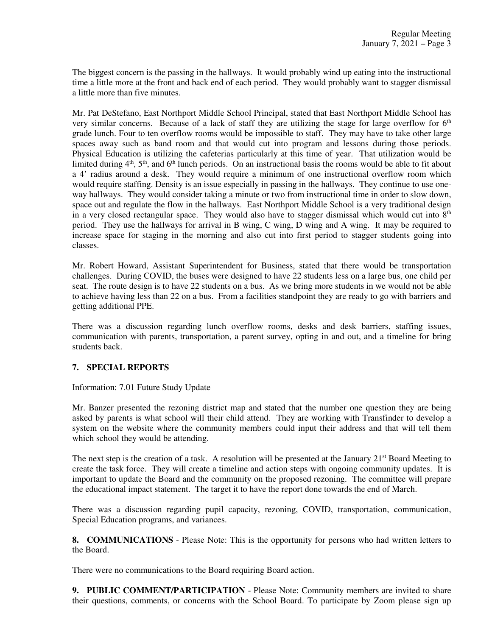The biggest concern is the passing in the hallways. It would probably wind up eating into the instructional time a little more at the front and back end of each period. They would probably want to stagger dismissal a little more than five minutes.

Mr. Pat DeStefano, East Northport Middle School Principal, stated that East Northport Middle School has very similar concerns. Because of a lack of staff they are utilizing the stage for large overflow for  $6<sup>th</sup>$ grade lunch. Four to ten overflow rooms would be impossible to staff. They may have to take other large spaces away such as band room and that would cut into program and lessons during those periods. Physical Education is utilizing the cafeterias particularly at this time of year. That utilization would be limited during  $4<sup>th</sup>$ ,  $5<sup>th</sup>$ , and  $6<sup>th</sup>$  lunch periods. On an instructional basis the rooms would be able to fit about a 4' radius around a desk. They would require a minimum of one instructional overflow room which would require staffing. Density is an issue especially in passing in the hallways. They continue to use oneway hallways. They would consider taking a minute or two from instructional time in order to slow down, space out and regulate the flow in the hallways. East Northport Middle School is a very traditional design in a very closed rectangular space. They would also have to stagger dismissal which would cut into  $8<sup>th</sup>$ period. They use the hallways for arrival in B wing, C wing, D wing and A wing. It may be required to increase space for staging in the morning and also cut into first period to stagger students going into classes.

Mr. Robert Howard, Assistant Superintendent for Business, stated that there would be transportation challenges. During COVID, the buses were designed to have 22 students less on a large bus, one child per seat. The route design is to have 22 students on a bus. As we bring more students in we would not be able to achieve having less than 22 on a bus. From a facilities standpoint they are ready to go with barriers and getting additional PPE.

There was a discussion regarding lunch overflow rooms, desks and desk barriers, staffing issues, communication with parents, transportation, a parent survey, opting in and out, and a timeline for bring students back.

### **7. SPECIAL REPORTS**

Information: 7.01 Future Study Update

Mr. Banzer presented the rezoning district map and stated that the number one question they are being asked by parents is what school will their child attend. They are working with Transfinder to develop a system on the website where the community members could input their address and that will tell them which school they would be attending.

The next step is the creation of a task. A resolution will be presented at the January  $21<sup>st</sup>$  Board Meeting to create the task force. They will create a timeline and action steps with ongoing community updates. It is important to update the Board and the community on the proposed rezoning. The committee will prepare the educational impact statement. The target it to have the report done towards the end of March.

There was a discussion regarding pupil capacity, rezoning, COVID, transportation, communication, Special Education programs, and variances.

**8. COMMUNICATIONS** - Please Note: This is the opportunity for persons who had written letters to the Board.

There were no communications to the Board requiring Board action.

**9. PUBLIC COMMENT/PARTICIPATION** - Please Note: Community members are invited to share their questions, comments, or concerns with the School Board. To participate by Zoom please sign up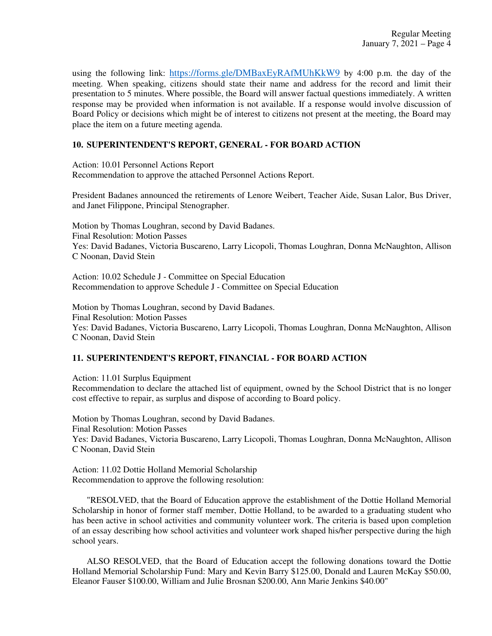using the following link: https://forms.gle/DMBaxEyRAfMUhKkW9 by 4:00 p.m. the day of the meeting. When speaking, citizens should state their name and address for the record and limit their presentation to 5 minutes. Where possible, the Board will answer factual questions immediately. A written response may be provided when information is not available. If a response would involve discussion of Board Policy or decisions which might be of interest to citizens not present at the meeting, the Board may place the item on a future meeting agenda.

## **10. SUPERINTENDENT'S REPORT, GENERAL - FOR BOARD ACTION**

Action: 10.01 Personnel Actions Report Recommendation to approve the attached Personnel Actions Report.

President Badanes announced the retirements of Lenore Weibert, Teacher Aide, Susan Lalor, Bus Driver, and Janet Filippone, Principal Stenographer.

Motion by Thomas Loughran, second by David Badanes. Final Resolution: Motion Passes Yes: David Badanes, Victoria Buscareno, Larry Licopoli, Thomas Loughran, Donna McNaughton, Allison C Noonan, David Stein

Action: 10.02 Schedule J - Committee on Special Education Recommendation to approve Schedule J - Committee on Special Education

Motion by Thomas Loughran, second by David Badanes. Final Resolution: Motion Passes Yes: David Badanes, Victoria Buscareno, Larry Licopoli, Thomas Loughran, Donna McNaughton, Allison C Noonan, David Stein

# **11. SUPERINTENDENT'S REPORT, FINANCIAL - FOR BOARD ACTION**

Action: 11.01 Surplus Equipment Recommendation to declare the attached list of equipment, owned by the School District that is no longer cost effective to repair, as surplus and dispose of according to Board policy.

Motion by Thomas Loughran, second by David Badanes. Final Resolution: Motion Passes Yes: David Badanes, Victoria Buscareno, Larry Licopoli, Thomas Loughran, Donna McNaughton, Allison C Noonan, David Stein

Action: 11.02 Dottie Holland Memorial Scholarship Recommendation to approve the following resolution:

 "RESOLVED, that the Board of Education approve the establishment of the Dottie Holland Memorial Scholarship in honor of former staff member, Dottie Holland, to be awarded to a graduating student who has been active in school activities and community volunteer work. The criteria is based upon completion of an essay describing how school activities and volunteer work shaped his/her perspective during the high school years.

 ALSO RESOLVED, that the Board of Education accept the following donations toward the Dottie Holland Memorial Scholarship Fund: Mary and Kevin Barry \$125.00, Donald and Lauren McKay \$50.00, Eleanor Fauser \$100.00, William and Julie Brosnan \$200.00, Ann Marie Jenkins \$40.00"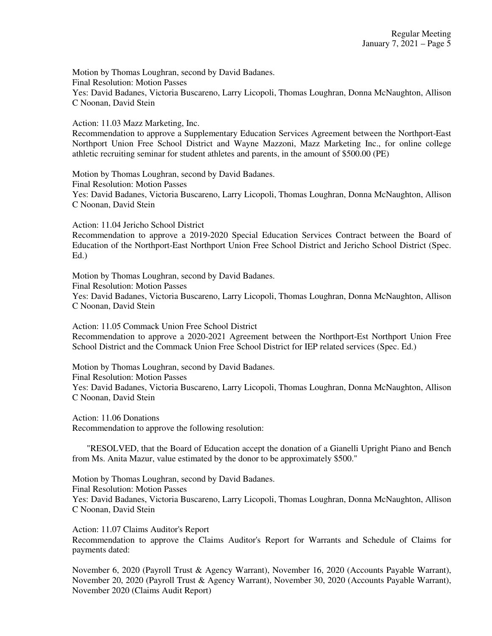Motion by Thomas Loughran, second by David Badanes. Final Resolution: Motion Passes Yes: David Badanes, Victoria Buscareno, Larry Licopoli, Thomas Loughran, Donna McNaughton, Allison C Noonan, David Stein

Action: 11.03 Mazz Marketing, Inc.

Recommendation to approve a Supplementary Education Services Agreement between the Northport-East Northport Union Free School District and Wayne Mazzoni, Mazz Marketing Inc., for online college athletic recruiting seminar for student athletes and parents, in the amount of \$500.00 (PE)

Motion by Thomas Loughran, second by David Badanes. Final Resolution: Motion Passes Yes: David Badanes, Victoria Buscareno, Larry Licopoli, Thomas Loughran, Donna McNaughton, Allison C Noonan, David Stein

Action: 11.04 Jericho School District

Recommendation to approve a 2019-2020 Special Education Services Contract between the Board of Education of the Northport-East Northport Union Free School District and Jericho School District (Spec. Ed.)

Motion by Thomas Loughran, second by David Badanes. Final Resolution: Motion Passes Yes: David Badanes, Victoria Buscareno, Larry Licopoli, Thomas Loughran, Donna McNaughton, Allison C Noonan, David Stein

Action: 11.05 Commack Union Free School District Recommendation to approve a 2020-2021 Agreement between the Northport-Est Northport Union Free School District and the Commack Union Free School District for IEP related services (Spec. Ed.)

Motion by Thomas Loughran, second by David Badanes. Final Resolution: Motion Passes Yes: David Badanes, Victoria Buscareno, Larry Licopoli, Thomas Loughran, Donna McNaughton, Allison C Noonan, David Stein

Action: 11.06 Donations Recommendation to approve the following resolution:

 "RESOLVED, that the Board of Education accept the donation of a Gianelli Upright Piano and Bench from Ms. Anita Mazur, value estimated by the donor to be approximately \$500."

Motion by Thomas Loughran, second by David Badanes. Final Resolution: Motion Passes Yes: David Badanes, Victoria Buscareno, Larry Licopoli, Thomas Loughran, Donna McNaughton, Allison C Noonan, David Stein

Action: 11.07 Claims Auditor's Report

Recommendation to approve the Claims Auditor's Report for Warrants and Schedule of Claims for payments dated:

November 6, 2020 (Payroll Trust & Agency Warrant), November 16, 2020 (Accounts Payable Warrant), November 20, 2020 (Payroll Trust & Agency Warrant), November 30, 2020 (Accounts Payable Warrant), November 2020 (Claims Audit Report)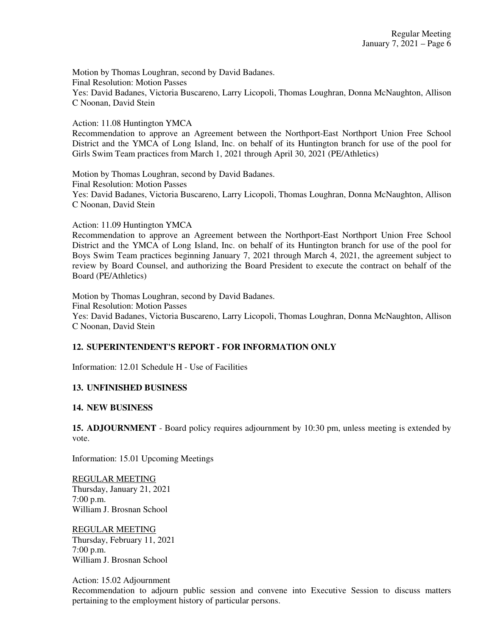Motion by Thomas Loughran, second by David Badanes. Final Resolution: Motion Passes Yes: David Badanes, Victoria Buscareno, Larry Licopoli, Thomas Loughran, Donna McNaughton, Allison C Noonan, David Stein

Action: 11.08 Huntington YMCA

Recommendation to approve an Agreement between the Northport-East Northport Union Free School District and the YMCA of Long Island, Inc. on behalf of its Huntington branch for use of the pool for Girls Swim Team practices from March 1, 2021 through April 30, 2021 (PE/Athletics)

Motion by Thomas Loughran, second by David Badanes. Final Resolution: Motion Passes Yes: David Badanes, Victoria Buscareno, Larry Licopoli, Thomas Loughran, Donna McNaughton, Allison C Noonan, David Stein

Action: 11.09 Huntington YMCA

Recommendation to approve an Agreement between the Northport-East Northport Union Free School District and the YMCA of Long Island, Inc. on behalf of its Huntington branch for use of the pool for Boys Swim Team practices beginning January 7, 2021 through March 4, 2021, the agreement subject to review by Board Counsel, and authorizing the Board President to execute the contract on behalf of the Board (PE/Athletics)

Motion by Thomas Loughran, second by David Badanes. Final Resolution: Motion Passes Yes: David Badanes, Victoria Buscareno, Larry Licopoli, Thomas Loughran, Donna McNaughton, Allison C Noonan, David Stein

# **12. SUPERINTENDENT'S REPORT - FOR INFORMATION ONLY**

Information: 12.01 Schedule H - Use of Facilities

### **13. UNFINISHED BUSINESS**

#### **14. NEW BUSINESS**

**15. ADJOURNMENT** - Board policy requires adjournment by 10:30 pm, unless meeting is extended by vote.

Information: 15.01 Upcoming Meetings

REGULAR MEETING Thursday, January 21, 2021 7:00 p.m. William J. Brosnan School

REGULAR MEETING Thursday, February 11, 2021 7:00 p.m. William J. Brosnan School

Action: 15.02 Adjournment

Recommendation to adjourn public session and convene into Executive Session to discuss matters pertaining to the employment history of particular persons.